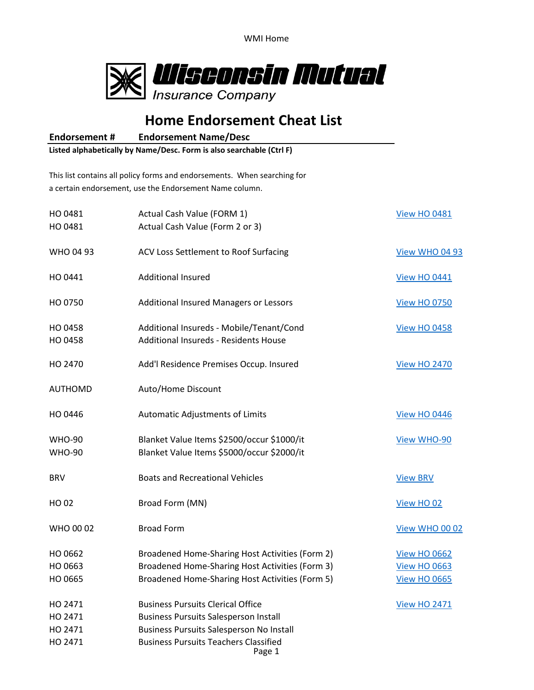

## **Home Endorsement Cheat List**

**Endorsement # Endorsement Name/Desc**

**Listed alphabetically by Name/Desc. Form is also searchable (Ctrl F)**

This list contains all policy forms and endorsements. When searching for a certain endorsement, use the Endorsement Name column.

| HO 0481<br>HO 0481                       | Actual Cash Value (FORM 1)<br>Actual Cash Value (Form 2 or 3)                                                                                                                                         | <b>View HO 0481</b>                                               |
|------------------------------------------|-------------------------------------------------------------------------------------------------------------------------------------------------------------------------------------------------------|-------------------------------------------------------------------|
| WHO 04 93                                | ACV Loss Settlement to Roof Surfacing                                                                                                                                                                 | View WHO 04 93                                                    |
| HO 0441                                  | <b>Additional Insured</b>                                                                                                                                                                             | <b>View HO 0441</b>                                               |
| HO 0750                                  | Additional Insured Managers or Lessors                                                                                                                                                                | <b>View HO 0750</b>                                               |
| HO 0458<br>HO 0458                       | Additional Insureds - Mobile/Tenant/Cond<br>Additional Insureds - Residents House                                                                                                                     | <b>View HO 0458</b>                                               |
| HO 2470                                  | Add'l Residence Premises Occup. Insured                                                                                                                                                               | <b>View HO 2470</b>                                               |
| AUTHOMD                                  | Auto/Home Discount                                                                                                                                                                                    |                                                                   |
| HO 0446                                  | Automatic Adjustments of Limits                                                                                                                                                                       | <b>View HO 0446</b>                                               |
| <b>WHO-90</b><br><b>WHO-90</b>           | Blanket Value Items \$2500/occur \$1000/it<br>Blanket Value Items \$5000/occur \$2000/it                                                                                                              | View WHO-90                                                       |
| <b>BRV</b>                               | <b>Boats and Recreational Vehicles</b>                                                                                                                                                                | <b>View BRV</b>                                                   |
| HO 02                                    | Broad Form (MN)                                                                                                                                                                                       | View HO 02                                                        |
| WHO 00 02                                | <b>Broad Form</b>                                                                                                                                                                                     | View WHO 00 02                                                    |
| HO 0662<br>HO 0663<br>HO 0665            | Broadened Home-Sharing Host Activities (Form 2)<br>Broadened Home-Sharing Host Activities (Form 3)<br>Broadened Home-Sharing Host Activities (Form 5)                                                 | <b>View HO 0662</b><br><b>View HO 0663</b><br><b>View HO 0665</b> |
| HO 2471<br>HO 2471<br>HO 2471<br>HO 2471 | <b>Business Pursuits Clerical Office</b><br><b>Business Pursuits Salesperson Install</b><br><b>Business Pursuits Salesperson No Install</b><br><b>Business Pursuits Teachers Classified</b><br>Page 1 | <b>View HO 2471</b>                                               |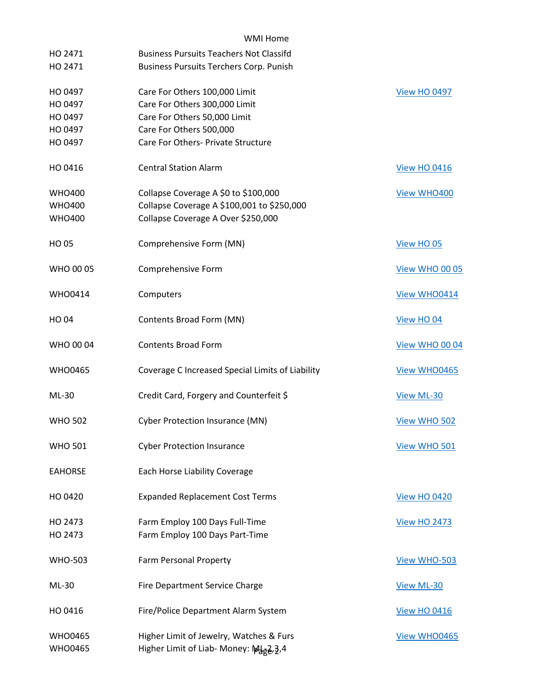| HO 2471<br>HO 2471                                  | <b>Business Pursuits Teachers Not Classifd</b><br><b>Business Pursuits Terchers Corp. Punish</b>                                                                |                       |
|-----------------------------------------------------|-----------------------------------------------------------------------------------------------------------------------------------------------------------------|-----------------------|
| HO 0497<br>HO 0497<br>HO 0497<br>HO 0497<br>HO 0497 | Care For Others 100,000 Limit<br>Care For Others 300,000 Limit<br>Care For Others 50,000 Limit<br>Care For Others 500,000<br>Care For Others- Private Structure | <b>View HO 0497</b>   |
| HO 0416                                             | <b>Central Station Alarm</b>                                                                                                                                    | <b>View HO 0416</b>   |
| <b>WHO400</b><br><b>WHO400</b><br><b>WHO400</b>     | Collapse Coverage A \$0 to \$100,000<br>Collapse Coverage A \$100,001 to \$250,000<br>Collapse Coverage A Over \$250,000                                        | View WHO400           |
| <b>HO05</b>                                         | Comprehensive Form (MN)                                                                                                                                         | View HO 05            |
| WHO 00 05                                           | Comprehensive Form                                                                                                                                              | <b>View WHO 00 05</b> |
| <b>WHO0414</b>                                      | Computers                                                                                                                                                       | View WHO0414          |
| <b>HO04</b>                                         | Contents Broad Form (MN)                                                                                                                                        | View HO 04            |
| WHO 00 04                                           | <b>Contents Broad Form</b>                                                                                                                                      | <b>View WHO 00 04</b> |
| <b>WHO0465</b>                                      | Coverage C Increased Special Limits of Liability                                                                                                                | View WHO0465          |
| ML-30                                               | Credit Card, Forgery and Counterfeit \$                                                                                                                         | View ML-30            |
| <b>WHO 502</b>                                      | <b>Cyber Protection Insurance (MN)</b>                                                                                                                          | View WHO 502          |
| <b>WHO 501</b>                                      | <b>Cyber Protection Insurance</b>                                                                                                                               | View WHO 501          |
| <b>EAHORSE</b>                                      | Each Horse Liability Coverage                                                                                                                                   |                       |
| HO 0420                                             | <b>Expanded Replacement Cost Terms</b>                                                                                                                          | <b>View HO 0420</b>   |
| HO 2473<br>HO 2473                                  | Farm Employ 100 Days Full-Time<br>Farm Employ 100 Days Part-Time                                                                                                | <b>View HO 2473</b>   |
| <b>WHO-503</b>                                      | Farm Personal Property                                                                                                                                          | View WHO-503          |
| ML-30                                               | Fire Department Service Charge                                                                                                                                  | View ML-30            |
| HO 0416                                             | Fire/Police Department Alarm System                                                                                                                             | <b>View HO 0416</b>   |
| <b>WHO0465</b><br><b>WHO0465</b>                    | Higher Limit of Jewelry, Watches & Furs<br>Higher Limit of Liab- Money: Mgg2, 3,4                                                                               | View WHO0465          |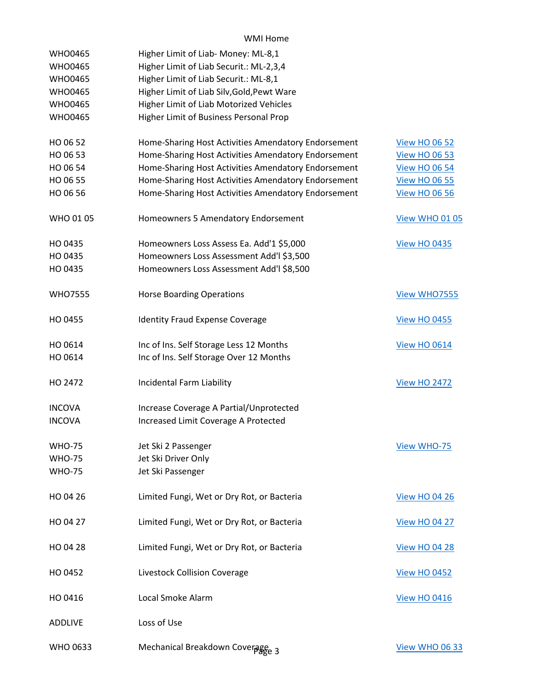| <b>WHO0465</b>  | Higher Limit of Liab- Money: ML-8,1                 |                       |
|-----------------|-----------------------------------------------------|-----------------------|
| <b>WHO0465</b>  | Higher Limit of Liab Securit.: ML-2,3,4             |                       |
| <b>WHO0465</b>  | Higher Limit of Liab Securit.: ML-8,1               |                       |
| <b>WHO0465</b>  | Higher Limit of Liab Silv, Gold, Pewt Ware          |                       |
| <b>WHO0465</b>  | Higher Limit of Liab Motorized Vehicles             |                       |
| <b>WHO0465</b>  | Higher Limit of Business Personal Prop              |                       |
|                 |                                                     |                       |
| HO 06 52        | Home-Sharing Host Activities Amendatory Endorsement | <b>View HO 06 52</b>  |
| HO 06 53        | Home-Sharing Host Activities Amendatory Endorsement | <b>View HO 06 53</b>  |
| HO 06 54        | Home-Sharing Host Activities Amendatory Endorsement | <b>View HO 06 54</b>  |
| HO 06 55        | Home-Sharing Host Activities Amendatory Endorsement | <b>View HO 06 55</b>  |
| HO 06 56        | Home-Sharing Host Activities Amendatory Endorsement | <b>View HO 06 56</b>  |
|                 |                                                     |                       |
| WHO 01 05       | Homeowners 5 Amendatory Endorsement                 | <b>View WHO 01 05</b> |
|                 |                                                     |                       |
| HO 0435         | Homeowners Loss Assess Ea. Add'1 \$5,000            | <b>View HO 0435</b>   |
| HO 0435         | Homeowners Loss Assessment Add'l \$3,500            |                       |
| HO 0435         | Homeowners Loss Assessment Add'l \$8,500            |                       |
|                 |                                                     |                       |
| <b>WHO7555</b>  | <b>Horse Boarding Operations</b>                    | View WHO7555          |
|                 |                                                     |                       |
| HO 0455         | <b>Identity Fraud Expense Coverage</b>              | <b>View HO 0455</b>   |
|                 |                                                     |                       |
| HO 0614         | Inc of Ins. Self Storage Less 12 Months             | <b>View HO 0614</b>   |
| HO 0614         | Inc of Ins. Self Storage Over 12 Months             |                       |
|                 |                                                     |                       |
| HO 2472         | Incidental Farm Liability                           | <b>View HO 2472</b>   |
|                 |                                                     |                       |
| <b>INCOVA</b>   | Increase Coverage A Partial/Unprotected             |                       |
| <b>INCOVA</b>   | Increased Limit Coverage A Protected                |                       |
|                 |                                                     |                       |
| <b>WHO-75</b>   | Jet Ski 2 Passenger                                 | View WHO-75           |
| <b>WHO-75</b>   | Jet Ski Driver Only                                 |                       |
| <b>WHO-75</b>   | Jet Ski Passenger                                   |                       |
|                 |                                                     |                       |
| HO 04 26        | Limited Fungi, Wet or Dry Rot, or Bacteria          | <b>View HO 04 26</b>  |
|                 |                                                     |                       |
| HO 04 27        | Limited Fungi, Wet or Dry Rot, or Bacteria          | <b>View HO 04 27</b>  |
|                 |                                                     |                       |
| HO 04 28        | Limited Fungi, Wet or Dry Rot, or Bacteria          | <b>View HO 04 28</b>  |
|                 |                                                     |                       |
| HO 0452         | Livestock Collision Coverage                        | <b>View HO 0452</b>   |
|                 |                                                     |                       |
| HO 0416         | Local Smoke Alarm                                   | <b>View HO 0416</b>   |
|                 |                                                     |                       |
| <b>ADDLIVE</b>  | Loss of Use                                         |                       |
|                 |                                                     |                       |
| <b>WHO 0633</b> | Mechanical Breakdown Coverage 3                     | <b>View WHO 06 33</b> |
|                 |                                                     |                       |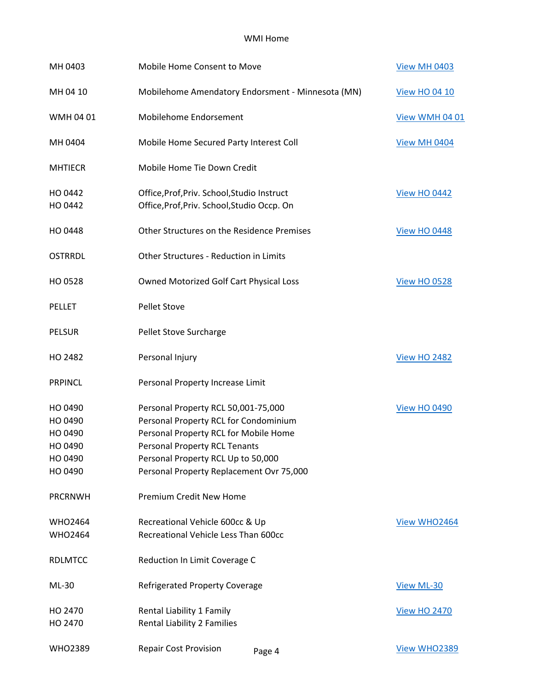| MH 0403                                                        | Mobile Home Consent to Move                                                                                                                                                                                                              | <b>View MH 0403</b>  |
|----------------------------------------------------------------|------------------------------------------------------------------------------------------------------------------------------------------------------------------------------------------------------------------------------------------|----------------------|
| MH 04 10                                                       | Mobilehome Amendatory Endorsment - Minnesota (MN)                                                                                                                                                                                        | <b>View HO 04 10</b> |
| WMH 04 01                                                      | Mobilehome Endorsement                                                                                                                                                                                                                   | View WMH 04 01       |
| MH 0404                                                        | Mobile Home Secured Party Interest Coll                                                                                                                                                                                                  | View MH 0404         |
| <b>MHTIECR</b>                                                 | Mobile Home Tie Down Credit                                                                                                                                                                                                              |                      |
| HO 0442<br>HO 0442                                             | Office, Prof, Priv. School, Studio Instruct<br>Office, Prof, Priv. School, Studio Occp. On                                                                                                                                               | <b>View HO 0442</b>  |
| HO 0448                                                        | Other Structures on the Residence Premises                                                                                                                                                                                               | <b>View HO 0448</b>  |
| <b>OSTRRDL</b>                                                 | Other Structures - Reduction in Limits                                                                                                                                                                                                   |                      |
| HO 0528                                                        | Owned Motorized Golf Cart Physical Loss                                                                                                                                                                                                  | <b>View HO 0528</b>  |
| <b>PELLET</b>                                                  | <b>Pellet Stove</b>                                                                                                                                                                                                                      |                      |
| <b>PELSUR</b>                                                  | Pellet Stove Surcharge                                                                                                                                                                                                                   |                      |
| HO 2482                                                        | Personal Injury                                                                                                                                                                                                                          | <b>View HO 2482</b>  |
| <b>PRPINCL</b>                                                 | Personal Property Increase Limit                                                                                                                                                                                                         |                      |
| HO 0490<br>HO 0490<br>HO 0490<br>HO 0490<br>HO 0490<br>HO 0490 | Personal Property RCL 50,001-75,000<br>Personal Property RCL for Condominium<br>Personal Property RCL for Mobile Home<br>Personal Property RCL Tenants<br>Personal Property RCL Up to 50,000<br>Personal Property Replacement Ovr 75,000 | <b>View HO 0490</b>  |
| <b>PRCRNWH</b>                                                 | Premium Credit New Home                                                                                                                                                                                                                  |                      |
| <b>WHO2464</b><br><b>WHO2464</b>                               | Recreational Vehicle 600cc & Up<br>Recreational Vehicle Less Than 600cc                                                                                                                                                                  | View WHO2464         |
| <b>RDLMTCC</b>                                                 | Reduction In Limit Coverage C                                                                                                                                                                                                            |                      |
| ML-30                                                          | <b>Refrigerated Property Coverage</b>                                                                                                                                                                                                    | View ML-30           |
| HO 2470<br>HO 2470                                             | Rental Liability 1 Family<br><b>Rental Liability 2 Families</b>                                                                                                                                                                          | <b>View HO 2470</b>  |
| <b>WHO2389</b>                                                 | <b>Repair Cost Provision</b><br>Page 4                                                                                                                                                                                                   | View WHO2389         |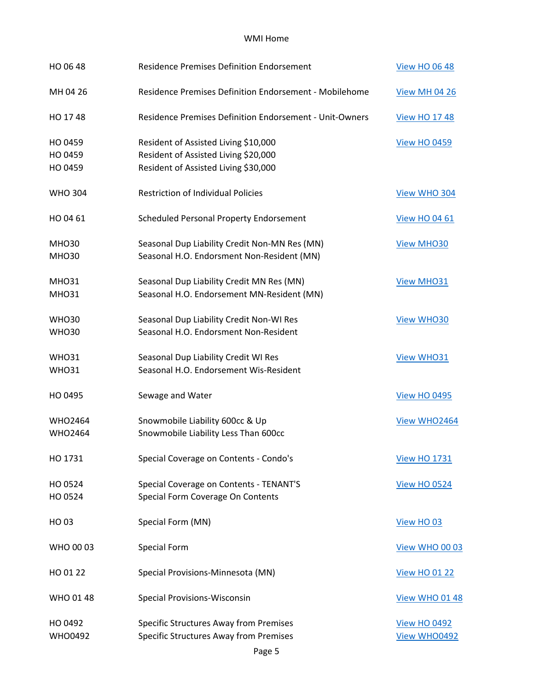| HO 06 48                         | <b>Residence Premises Definition Endorsement</b>                                                                     | <b>View HO 06 48</b>                |
|----------------------------------|----------------------------------------------------------------------------------------------------------------------|-------------------------------------|
| MH 04 26                         | Residence Premises Definition Endorsement - Mobilehome                                                               | <b>View MH 04 26</b>                |
| HO 1748                          | <b>Residence Premises Definition Endorsement - Unit-Owners</b>                                                       | <b>View HO 17 48</b>                |
| HO 0459<br>HO 0459<br>HO 0459    | Resident of Assisted Living \$10,000<br>Resident of Assisted Living \$20,000<br>Resident of Assisted Living \$30,000 | <b>View HO 0459</b>                 |
| <b>WHO 304</b>                   | <b>Restriction of Individual Policies</b>                                                                            | View WHO 304                        |
| HO 04 61                         | Scheduled Personal Property Endorsement                                                                              | <b>View HO 04 61</b>                |
| <b>MHO30</b><br><b>MHO30</b>     | Seasonal Dup Liability Credit Non-MN Res (MN)<br>Seasonal H.O. Endorsment Non-Resident (MN)                          | <b>View MHO30</b>                   |
| <b>MHO31</b><br><b>MHO31</b>     | Seasonal Dup Liability Credit MN Res (MN)<br>Seasonal H.O. Endorsement MN-Resident (MN)                              | <b>View MHO31</b>                   |
| <b>WHO30</b><br><b>WHO30</b>     | Seasonal Dup Liability Credit Non-WI Res<br>Seasonal H.O. Endorsment Non-Resident                                    | <b>View WHO30</b>                   |
| <b>WHO31</b><br><b>WHO31</b>     | Seasonal Dup Liability Credit WI Res<br>Seasonal H.O. Endorsement Wis-Resident                                       | <b>View WHO31</b>                   |
| HO 0495                          | Sewage and Water                                                                                                     | <b>View HO 0495</b>                 |
| <b>WHO2464</b><br><b>WHO2464</b> | Snowmobile Liability 600cc & Up<br>Snowmobile Liability Less Than 600cc                                              | View WHO2464                        |
| HO 1731                          | Special Coverage on Contents - Condo's                                                                               | <b>View HO 1731</b>                 |
| HO 0524<br>HO 0524               | Special Coverage on Contents - TENANT'S<br>Special Form Coverage On Contents                                         | <b>View HO 0524</b>                 |
| HO 03                            | Special Form (MN)                                                                                                    | View HO 03                          |
| WHO 00 03                        | <b>Special Form</b>                                                                                                  | View WHO 00 03                      |
| HO 01 22                         | Special Provisions-Minnesota (MN)                                                                                    | <b>View HO 01 22</b>                |
| WHO 01 48                        | <b>Special Provisions-Wisconsin</b>                                                                                  | <b>View WHO 01 48</b>               |
| HO 0492<br><b>WHO0492</b>        | <b>Specific Structures Away from Premises</b><br><b>Specific Structures Away from Premises</b>                       | <b>View HO 0492</b><br>View WHO0492 |